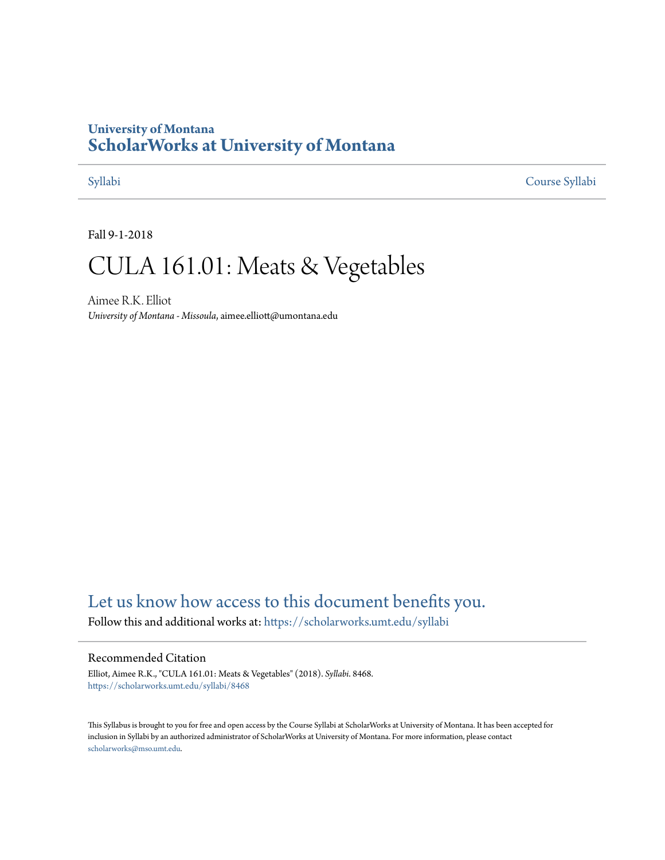## **University of Montana [ScholarWorks at University of Montana](https://scholarworks.umt.edu?utm_source=scholarworks.umt.edu%2Fsyllabi%2F8468&utm_medium=PDF&utm_campaign=PDFCoverPages)**

[Syllabi](https://scholarworks.umt.edu/syllabi?utm_source=scholarworks.umt.edu%2Fsyllabi%2F8468&utm_medium=PDF&utm_campaign=PDFCoverPages) [Course Syllabi](https://scholarworks.umt.edu/course_syllabi?utm_source=scholarworks.umt.edu%2Fsyllabi%2F8468&utm_medium=PDF&utm_campaign=PDFCoverPages)

Fall 9-1-2018

# CULA 161.01: Meats & Vegetables

Aimee R.K. Elliot *University of Montana - Missoula*, aimee.elliott@umontana.edu

# [Let us know how access to this document benefits you.](https://goo.gl/forms/s2rGfXOLzz71qgsB2)

Follow this and additional works at: [https://scholarworks.umt.edu/syllabi](https://scholarworks.umt.edu/syllabi?utm_source=scholarworks.umt.edu%2Fsyllabi%2F8468&utm_medium=PDF&utm_campaign=PDFCoverPages)

#### Recommended Citation

Elliot, Aimee R.K., "CULA 161.01: Meats & Vegetables" (2018). *Syllabi*. 8468. [https://scholarworks.umt.edu/syllabi/8468](https://scholarworks.umt.edu/syllabi/8468?utm_source=scholarworks.umt.edu%2Fsyllabi%2F8468&utm_medium=PDF&utm_campaign=PDFCoverPages)

This Syllabus is brought to you for free and open access by the Course Syllabi at ScholarWorks at University of Montana. It has been accepted for inclusion in Syllabi by an authorized administrator of ScholarWorks at University of Montana. For more information, please contact [scholarworks@mso.umt.edu](mailto:scholarworks@mso.umt.edu).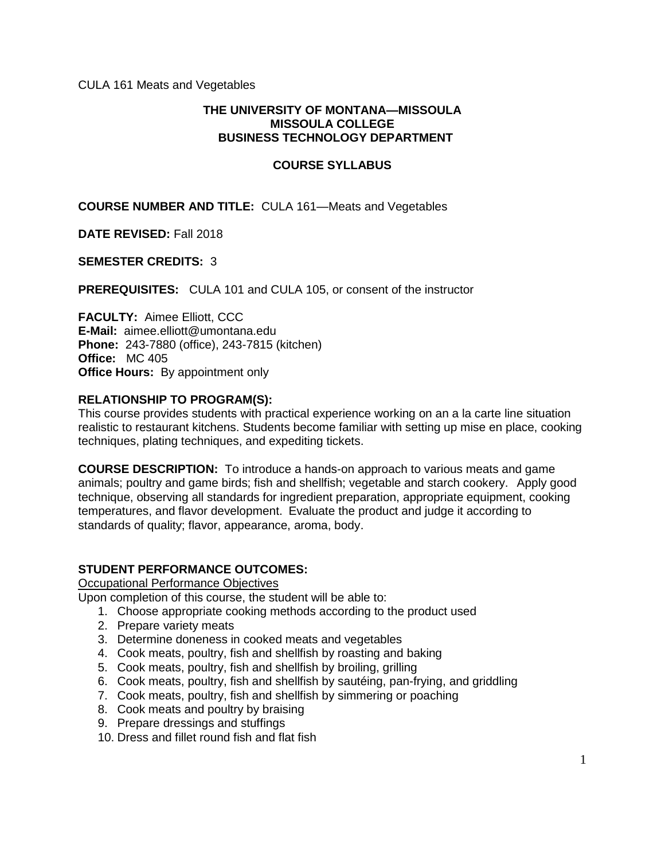#### **THE UNIVERSITY OF MONTANA—MISSOULA MISSOULA COLLEGE BUSINESS TECHNOLOGY DEPARTMENT**

#### **COURSE SYLLABUS**

**COURSE NUMBER AND TITLE:** CULA 161—Meats and Vegetables

**DATE REVISED:** Fall 2018

#### **SEMESTER CREDITS:** 3

**PREREQUISITES:** CULA 101 and CULA 105, or consent of the instructor

**FACULTY:** Aimee Elliott, CCC **E-Mail:** aimee.elliott@umontana.edu **Phone:** 243-7880 (office), 243-7815 (kitchen) **Office:** MC 405 **Office Hours:** By appointment only

#### **RELATIONSHIP TO PROGRAM(S):**

This course provides students with practical experience working on an a la carte line situation realistic to restaurant kitchens. Students become familiar with setting up mise en place, cooking techniques, plating techniques, and expediting tickets.

**COURSE DESCRIPTION:** To introduce a hands-on approach to various meats and game animals; poultry and game birds; fish and shellfish; vegetable and starch cookery. Apply good technique, observing all standards for ingredient preparation, appropriate equipment, cooking temperatures, and flavor development. Evaluate the product and judge it according to standards of quality; flavor, appearance, aroma, body.

#### **STUDENT PERFORMANCE OUTCOMES:**

Occupational Performance Objectives

Upon completion of this course, the student will be able to:

- 1. Choose appropriate cooking methods according to the product used
- 2. Prepare variety meats
- 3. Determine doneness in cooked meats and vegetables
- 4. Cook meats, poultry, fish and shellfish by roasting and baking
- 5. Cook meats, poultry, fish and shellfish by broiling, grilling
- 6. Cook meats, poultry, fish and shellfish by sautéing, pan-frying, and griddling
- 7. Cook meats, poultry, fish and shellfish by simmering or poaching
- 8. Cook meats and poultry by braising
- 9. Prepare dressings and stuffings

10. Dress and fillet round fish and flat fish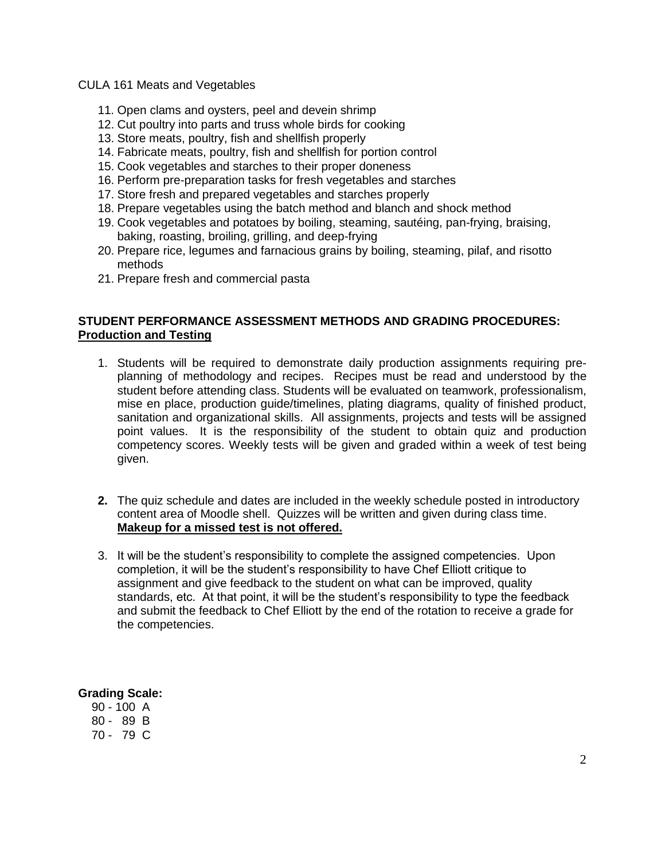- 11. Open clams and oysters, peel and devein shrimp
- 12. Cut poultry into parts and truss whole birds for cooking
- 13. Store meats, poultry, fish and shellfish properly
- 14. Fabricate meats, poultry, fish and shellfish for portion control
- 15. Cook vegetables and starches to their proper doneness
- 16. Perform pre-preparation tasks for fresh vegetables and starches
- 17. Store fresh and prepared vegetables and starches properly
- 18. Prepare vegetables using the batch method and blanch and shock method
- 19. Cook vegetables and potatoes by boiling, steaming, sautéing, pan-frying, braising, baking, roasting, broiling, grilling, and deep-frying
- 20. Prepare rice, legumes and farnacious grains by boiling, steaming, pilaf, and risotto methods
- 21. Prepare fresh and commercial pasta

#### **STUDENT PERFORMANCE ASSESSMENT METHODS AND GRADING PROCEDURES: Production and Testing**

- 1. Students will be required to demonstrate daily production assignments requiring preplanning of methodology and recipes. Recipes must be read and understood by the student before attending class. Students will be evaluated on teamwork, professionalism, mise en place, production guide/timelines, plating diagrams, quality of finished product, sanitation and organizational skills. All assignments, projects and tests will be assigned point values. It is the responsibility of the student to obtain quiz and production competency scores. Weekly tests will be given and graded within a week of test being given.
- **2.** The quiz schedule and dates are included in the weekly schedule posted in introductory content area of Moodle shell. Quizzes will be written and given during class time. **Makeup for a missed test is not offered.**
- 3. It will be the student's responsibility to complete the assigned competencies. Upon completion, it will be the student's responsibility to have Chef Elliott critique to assignment and give feedback to the student on what can be improved, quality standards, etc. At that point, it will be the student's responsibility to type the feedback and submit the feedback to Chef Elliott by the end of the rotation to receive a grade for the competencies.

#### **Grading Scale:**

 90 - 100 A 80 - 89 B 70 - 79 C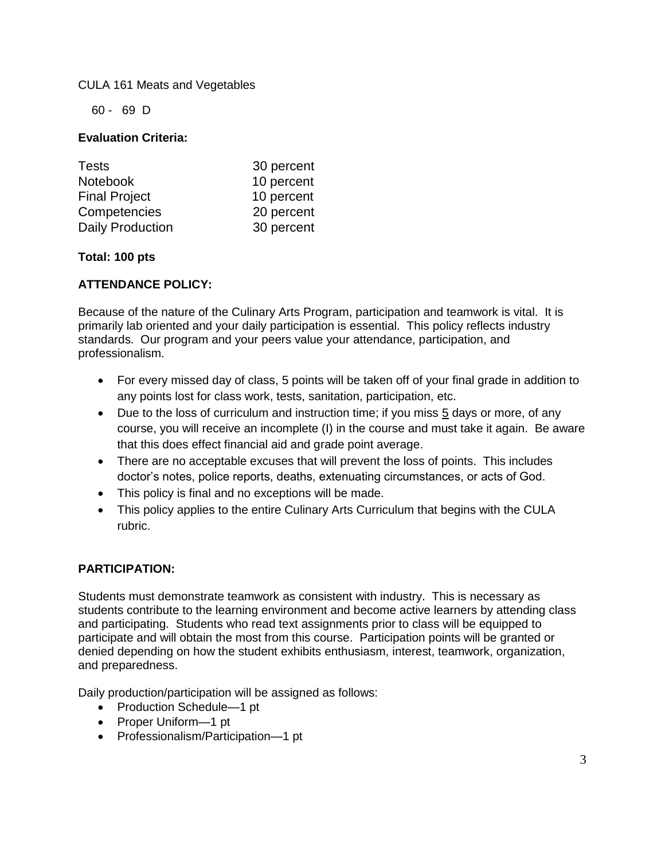60 - 69 D

#### **Evaluation Criteria:**

| 30 percent |
|------------|
| 10 percent |
| 10 percent |
| 20 percent |
| 30 percent |
|            |

#### **Total: 100 pts**

#### **ATTENDANCE POLICY:**

Because of the nature of the Culinary Arts Program, participation and teamwork is vital. It is primarily lab oriented and your daily participation is essential. This policy reflects industry standards. Our program and your peers value your attendance, participation, and professionalism.

- For every missed day of class, 5 points will be taken off of your final grade in addition to any points lost for class work, tests, sanitation, participation, etc.
- Due to the loss of curriculum and instruction time; if you miss 5 days or more, of any course, you will receive an incomplete (I) in the course and must take it again. Be aware that this does effect financial aid and grade point average.
- There are no acceptable excuses that will prevent the loss of points. This includes doctor's notes, police reports, deaths, extenuating circumstances, or acts of God.
- This policy is final and no exceptions will be made.
- This policy applies to the entire Culinary Arts Curriculum that begins with the CULA rubric.

#### **PARTICIPATION:**

Students must demonstrate teamwork as consistent with industry. This is necessary as students contribute to the learning environment and become active learners by attending class and participating. Students who read text assignments prior to class will be equipped to participate and will obtain the most from this course. Participation points will be granted or denied depending on how the student exhibits enthusiasm, interest, teamwork, organization, and preparedness.

Daily production/participation will be assigned as follows:

- Production Schedule-1 pt
- Proper Uniform-1 pt
- Professionalism/Participation-1 pt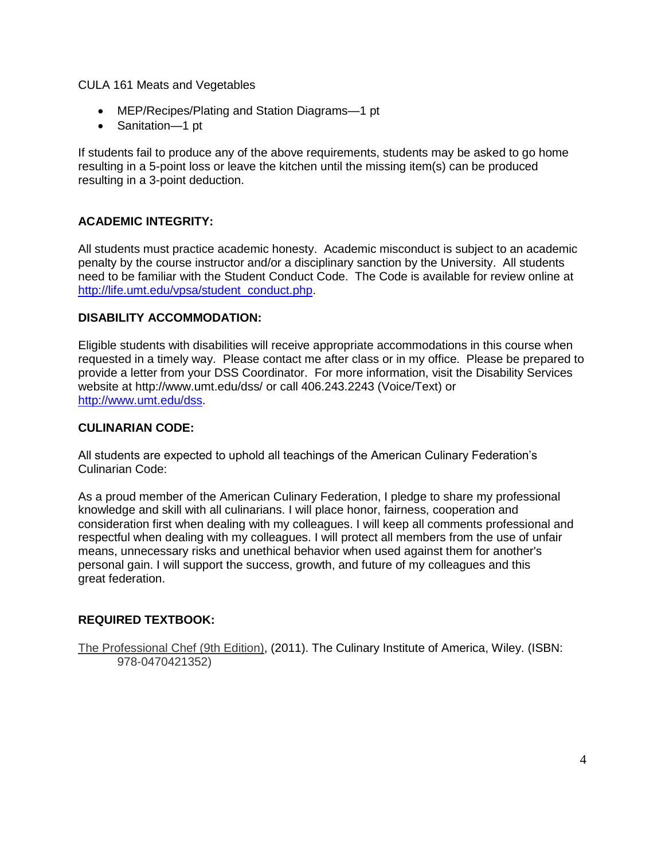- MEP/Recipes/Plating and Station Diagrams—1 pt
- Sanitation-1 pt

If students fail to produce any of the above requirements, students may be asked to go home resulting in a 5-point loss or leave the kitchen until the missing item(s) can be produced resulting in a 3-point deduction.

#### **ACADEMIC INTEGRITY:**

All students must practice academic honesty. Academic misconduct is subject to an academic penalty by the course instructor and/or a disciplinary sanction by the University. All students need to be familiar with the Student Conduct Code. The Code is available for review online at [http://life.umt.edu/vpsa/student\\_conduct.php.](http://life.umt.edu/vpsa/student_conduct.php)

#### **DISABILITY ACCOMMODATION:**

Eligible students with disabilities will receive appropriate accommodations in this course when requested in a timely way. Please contact me after class or in my office. Please be prepared to provide a letter from your DSS Coordinator. For more information, visit the Disability Services website at<http://www.umt.edu/dss/> or call 406.243.2243 (Voice/Text) or [http://www.umt.edu/dss.](http://www.umt.edu/dss)

#### **CULINARIAN CODE:**

All students are expected to uphold all teachings of the American Culinary Federation's Culinarian Code:

As a proud member of the American Culinary Federation, I pledge to share my professional knowledge and skill with all culinarians. I will place honor, fairness, cooperation and consideration first when dealing with my colleagues. I will keep all comments professional and respectful when dealing with my colleagues. I will protect all members from the use of unfair means, unnecessary risks and unethical behavior when used against them for another's personal gain. I will support the success, growth, and future of my colleagues and this great federation.

#### **REQUIRED TEXTBOOK:**

The Professional Chef (9th Edition), (2011). The Culinary Institute of America, Wiley. (ISBN: 978-0470421352)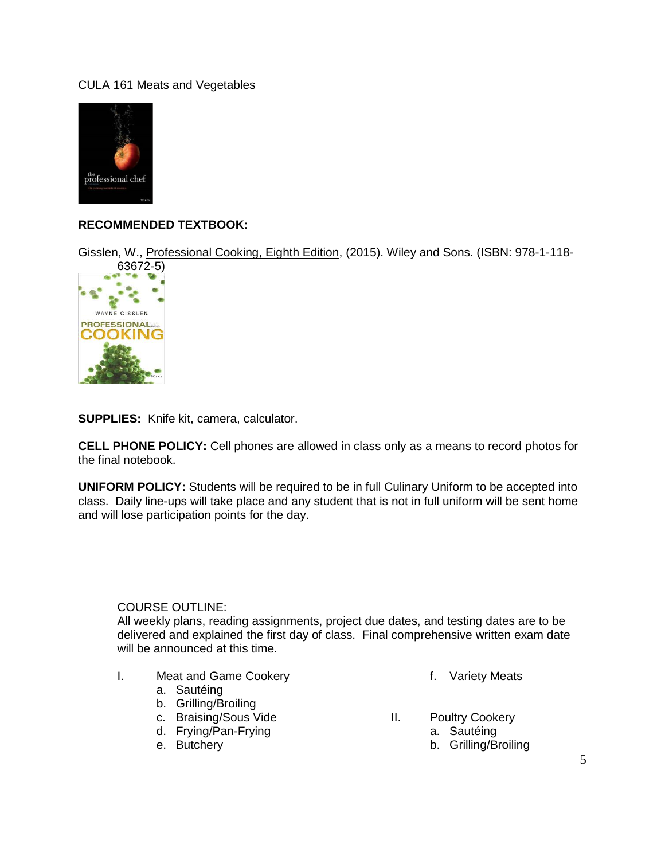

### **RECOMMENDED TEXTBOOK:**

Gisslen, W., Professional Cooking, Eighth Edition, (2015). Wiley and Sons. (ISBN: 978-1-118-



**SUPPLIES:** Knife kit, camera, calculator.

**CELL PHONE POLICY:** Cell phones are allowed in class only as a means to record photos for the final notebook.

**UNIFORM POLICY:** Students will be required to be in full Culinary Uniform to be accepted into class. Daily line-ups will take place and any student that is not in full uniform will be sent home and will lose participation points for the day.

#### COURSE OUTLINE:

All weekly plans, reading assignments, project due dates, and testing dates are to be delivered and explained the first day of class. Final comprehensive written exam date will be announced at this time.

- I. Meat and Game Cookery
	- a. Sautéing
	- b. Grilling/Broiling
	- c. Braising/Sous Vide
	- d. Frying/Pan-Frying
	- e. Butchery
- f. Variety Meats
- II. Poultry Cookery
	- a. Sautéing
	- b. Grilling/Broiling